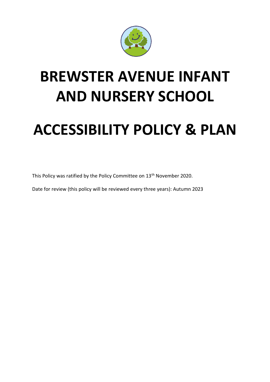

## **BREWSTER AVENUE INFANT AND NURSERY SCHOOL**

## **ACCESSIBILITY POLICY & PLAN**

This Policy was ratified by the Policy Committee on 13<sup>th</sup> November 2020.

Date for review (this policy will be reviewed every three years): Autumn 2023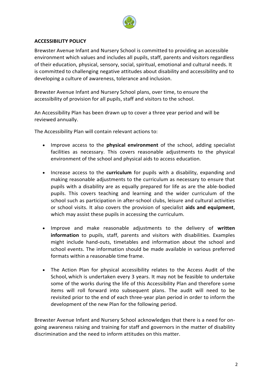

## **ACCESSIBILITY POLICY**

Brewster Avenue Infant and Nursery School is committed to providing an accessible environment which values and includes all pupils, staff, parents and visitors regardless of their education, physical, sensory, social, spiritual, emotional and cultural needs. It is committed to challenging negative attitudes about disability and accessibility and to developing a culture of awareness, tolerance and inclusion.

Brewster Avenue Infant and Nursery School plans, over time, to ensure the accessibility of provision for all pupils, staff and visitors to the school.

An Accessibility Plan has been drawn up to cover a three year period and will be reviewed annually.

The Accessibility Plan will contain relevant actions to:

- Improve access to the **physical environment** of the school, adding specialist facilities as necessary. This covers reasonable adjustments to the physical environment of the school and physical aids to access education.
- Increase access to the **curriculum** for pupils with a disability, expanding and making reasonable adjustments to the curriculum as necessary to ensure that pupils with a disability are as equally prepared for life as are the able-bodied pupils. This covers teaching and learning and the wider curriculum of the school such as participation in after-school clubs, leisure and cultural activities or school visits. It also covers the provision of specialist **aids and equipment**, which may assist these pupils in accessing the curriculum.
- Improve and make reasonable adjustments to the delivery of **written information** to pupils, staff, parents and visitors with disabilities. Examples might include hand-outs, timetables and information about the school and school events. The information should be made available in various preferred formats within a reasonable time frame.
- The Action Plan for physical accessibility relates to the Access Audit of the School, which is undertaken every 3 years. It may not be feasible to undertake some of the works during the life of this Accessibility Plan and therefore some items will roll forward into subsequent plans. The audit will need to be revisited prior to the end of each three-year plan period in order to inform the development of the new Plan for the following period.

Brewster Avenue Infant and Nursery School acknowledges that there is a need for ongoing awareness raising and training for staff and governors in the matter of disability discrimination and the need to inform attitudes on this matter.